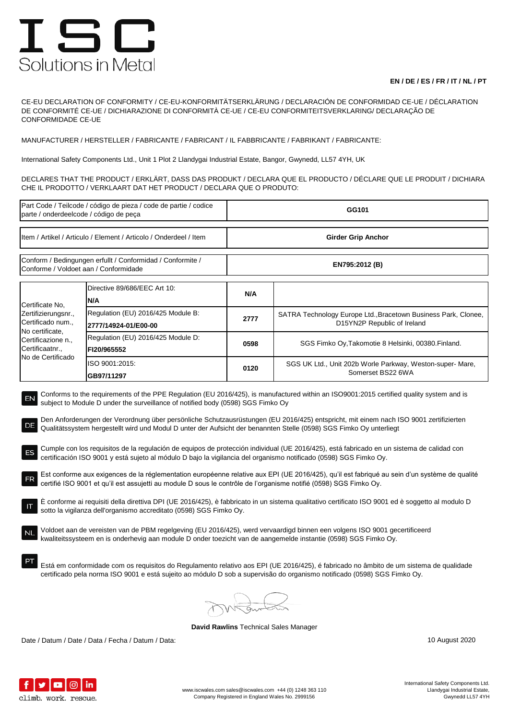## ISC Solutions in Metal

## **EN / DE / ES / FR / IT / NL / PT**

CE-EU DECLARATION OF CONFORMITY / CE-EU-KONFORMITÄTSERKLÄRUNG / DECLARACIÓN DE CONFORMIDAD CE-UE / DÉCLARATION DE CONFORMITÉ CE-UE / DICHIARAZIONE DI CONFORMITÀ CE-UE / CE-EU CONFORMITEITSVERKLARING/ DECLARAÇÃO DE CONFORMIDADE CE-UE

MANUFACTURER / HERSTELLER / FABRICANTE / FABRICANT / IL FABBRICANTE / FABRIKANT / FABRICANTE:

International Safety Components Ltd., Unit 1 Plot 2 Llandygai Industrial Estate, Bangor, Gwynedd, LL57 4YH, UK

DECLARES THAT THE PRODUCT / ERKLÄRT, DASS DAS PRODUKT / DECLARA QUE EL PRODUCTO / DÉCLARE QUE LE PRODUIT / DICHIARA CHE IL PRODOTTO / VERKLAART DAT HET PRODUCT / DECLARA QUE O PRODUTO:

| Part Code / Teilcode / código de pieza / code de partie / codice<br>parte / onderdeelcode / código de peça                                                                                                                                                                                                                                                                                                                                                                                                                                                                                                                                                                                                                                                                                                                                                                                                                                                                                                                                                                                                                                                                                                                                                                                                                                                                                                                                                                                                                                                        |                                                            | GG101                     |                                                                                               |  |  |
|-------------------------------------------------------------------------------------------------------------------------------------------------------------------------------------------------------------------------------------------------------------------------------------------------------------------------------------------------------------------------------------------------------------------------------------------------------------------------------------------------------------------------------------------------------------------------------------------------------------------------------------------------------------------------------------------------------------------------------------------------------------------------------------------------------------------------------------------------------------------------------------------------------------------------------------------------------------------------------------------------------------------------------------------------------------------------------------------------------------------------------------------------------------------------------------------------------------------------------------------------------------------------------------------------------------------------------------------------------------------------------------------------------------------------------------------------------------------------------------------------------------------------------------------------------------------|------------------------------------------------------------|---------------------------|-----------------------------------------------------------------------------------------------|--|--|
| Item / Artikel / Articulo / Element / Articolo / Onderdeel / Item                                                                                                                                                                                                                                                                                                                                                                                                                                                                                                                                                                                                                                                                                                                                                                                                                                                                                                                                                                                                                                                                                                                                                                                                                                                                                                                                                                                                                                                                                                 |                                                            | <b>Girder Grip Anchor</b> |                                                                                               |  |  |
| Conform / Bedingungen erfullt / Conformidad / Conformite /<br>Conforme / Voldoet aan / Conformidade                                                                                                                                                                                                                                                                                                                                                                                                                                                                                                                                                                                                                                                                                                                                                                                                                                                                                                                                                                                                                                                                                                                                                                                                                                                                                                                                                                                                                                                               |                                                            | EN795:2012 (B)            |                                                                                               |  |  |
| Certificate No,<br>Zertifizierungsnr.,<br>Certificado num.,<br>No certificate,<br>Certificazione n.,<br>Certificaatnr.,<br>No de Certificado                                                                                                                                                                                                                                                                                                                                                                                                                                                                                                                                                                                                                                                                                                                                                                                                                                                                                                                                                                                                                                                                                                                                                                                                                                                                                                                                                                                                                      | Directive 89/686/EEC Art 10:<br>N/A                        | N/A                       |                                                                                               |  |  |
|                                                                                                                                                                                                                                                                                                                                                                                                                                                                                                                                                                                                                                                                                                                                                                                                                                                                                                                                                                                                                                                                                                                                                                                                                                                                                                                                                                                                                                                                                                                                                                   | Regulation (EU) 2016/425 Module B:<br>2777/14924-01/E00-00 | 2777                      | SATRA Technology Europe Ltd., Bracetown Business Park, Clonee,<br>D15YN2P Republic of Ireland |  |  |
|                                                                                                                                                                                                                                                                                                                                                                                                                                                                                                                                                                                                                                                                                                                                                                                                                                                                                                                                                                                                                                                                                                                                                                                                                                                                                                                                                                                                                                                                                                                                                                   | Regulation (EU) 2016/425 Module D:<br>FI20/965552          | 0598                      | SGS Fimko Oy, Takomotie 8 Helsinki, 00380. Finland.                                           |  |  |
|                                                                                                                                                                                                                                                                                                                                                                                                                                                                                                                                                                                                                                                                                                                                                                                                                                                                                                                                                                                                                                                                                                                                                                                                                                                                                                                                                                                                                                                                                                                                                                   | ISO 9001:2015:<br>GB97/11297                               | 0120                      | SGS UK Ltd., Unit 202b Worle Parkway, Weston-super-Mare,<br>Somerset BS22 6WA                 |  |  |
| Den Anforderungen der Verordnung über persönliche Schutzausrüstungen (EU 2016/425) entspricht, mit einem nach ISO 9001 zertifizierten<br>DE<br>Qualitätssystem hergestellt wird und Modul D unter der Aufsicht der benannten Stelle (0598) SGS Fimko Oy unterliegt<br>Cumple con los requisitos de la regulación de equipos de protección individual (UE 2016/425), está fabricado en un sistema de calidad con<br>certificación ISO 9001 y está sujeto al módulo D bajo la vigilancia del organismo notificado (0598) SGS Fimko Oy.<br>Est conforme aux exigences de la réglementation européenne relative aux EPI (UE 2016/425), qu'il est fabriqué au sein d'un système de qualité<br>certifié ISO 9001 et qu'il est assujetti au module D sous le contrôle de l'organisme notifié (0598) SGS Fimko Oy.<br>È conforme ai requisiti della direttiva DPI (UE 2016/425), è fabbricato in un sistema qualitativo certificato ISO 9001 ed è soggetto al modulo D<br>sotto la vigilanza dell'organismo accreditato (0598) SGS Fimko Oy.<br>Voldoet aan de vereisten van de PBM regelgeving (EU 2016/425), werd vervaardigd binnen een volgens ISO 9001 gecertificeerd<br>NL<br>kwaliteitssysteem en is onderhevig aan module D onder toezicht van de aangemelde instantie (0598) SGS Fimko Oy.<br>Está em conformidade com os requisitos do Regulamento relativo aos EPI (UE 2016/425), é fabricado no âmbito de um sistema de qualidade<br>certificado pela norma ISO 9001 e está sujeito ao módulo D sob a supervisão do organismo notificado (0598) SGS Fimko Oy. |                                                            |                           |                                                                                               |  |  |
|                                                                                                                                                                                                                                                                                                                                                                                                                                                                                                                                                                                                                                                                                                                                                                                                                                                                                                                                                                                                                                                                                                                                                                                                                                                                                                                                                                                                                                                                                                                                                                   |                                                            |                           |                                                                                               |  |  |

**David Rawlins** Technical Sales Manager

Date / Datum / Date / Data / Fecha / Datum / Data: 10 August 2020